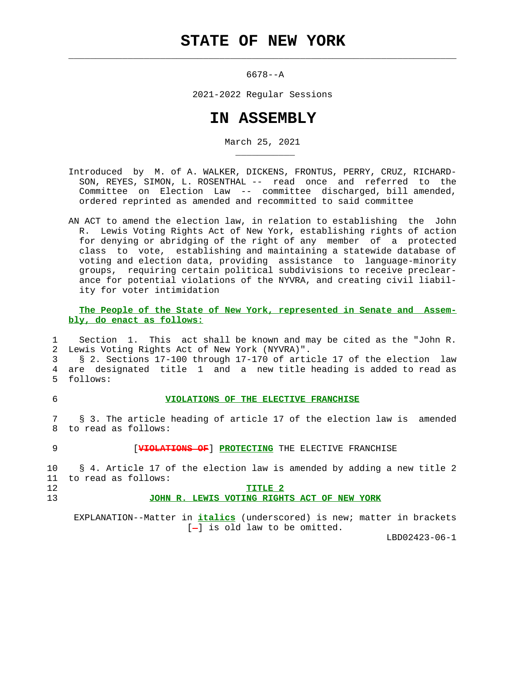$\mathcal{L}_\text{max} = \frac{1}{2} \sum_{i=1}^{n} \frac{1}{2} \sum_{i=1}^{n} \frac{1}{2} \sum_{i=1}^{n} \frac{1}{2} \sum_{i=1}^{n} \frac{1}{2} \sum_{i=1}^{n} \frac{1}{2} \sum_{i=1}^{n} \frac{1}{2} \sum_{i=1}^{n} \frac{1}{2} \sum_{i=1}^{n} \frac{1}{2} \sum_{i=1}^{n} \frac{1}{2} \sum_{i=1}^{n} \frac{1}{2} \sum_{i=1}^{n} \frac{1}{2} \sum_{i=1}^{n} \frac{1$ 

\_\_\_\_\_\_\_\_\_\_\_

6678--A

2021-2022 Regular Sessions

## **IN ASSEMBLY**

March 25, 2021

 Introduced by M. of A. WALKER, DICKENS, FRONTUS, PERRY, CRUZ, RICHARD- SON, REYES, SIMON, L. ROSENTHAL -- read once and referred to the Committee on Election Law -- committee discharged, bill amended, ordered reprinted as amended and recommitted to said committee

 AN ACT to amend the election law, in relation to establishing the John R. Lewis Voting Rights Act of New York, establishing rights of action for denying or abridging of the right of any member of a protected class to vote, establishing and maintaining a statewide database of voting and election data, providing assistance to language-minority groups, requiring certain political subdivisions to receive preclear ance for potential violations of the NYVRA, and creating civil liabil ity for voter intimidation

 **The People of the State of New York, represented in Senate and Assem bly, do enact as follows:**

 1 Section 1. This act shall be known and may be cited as the "John R. 2 Lewis Voting Rights Act of New York (NYVRA)". 3 § 2. Sections 17-100 through 17-170 of article 17 of the election law 4 are designated title 1 and a new title heading is added to read as

5 follows:

## 6 **VIOLATIONS OF THE ELECTIVE FRANCHISE**

 7 § 3. The article heading of article 17 of the election law is amended 8 to read as follows:

9 [**VIOLATIONS OF**] **PROTECTING** THE ELECTIVE FRANCHISE

 10 § 4. Article 17 of the election law is amended by adding a new title 2 11 to read as follows: 12 **TITLE 2**

13 **JOHN R. LEWIS VOTING RIGHTS ACT OF NEW YORK**

 EXPLANATION--Matter in **italics** (underscored) is new; matter in brackets  $[-]$  is old law to be omitted.

LBD02423-06-1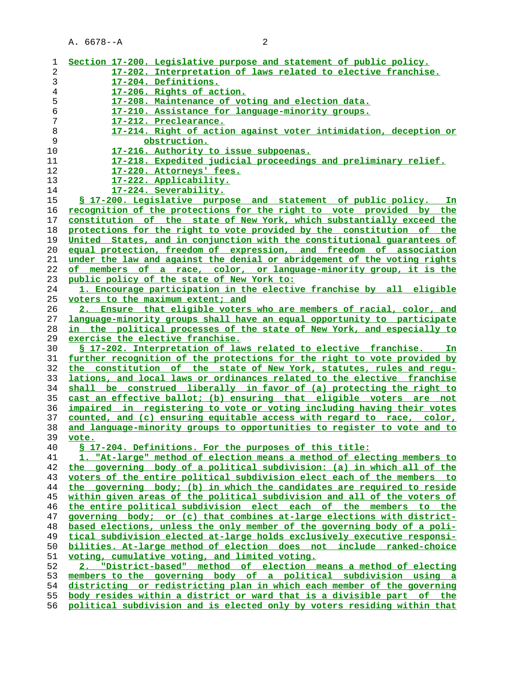| 1              | Section 17-200. Legislative purpose and statement of public policy.                                                                                |
|----------------|----------------------------------------------------------------------------------------------------------------------------------------------------|
| $\overline{c}$ | 17-202. Interpretation of laws related to elective franchise.                                                                                      |
| 3              | 17-204. Definitions.                                                                                                                               |
| $\overline{4}$ | 17-206. Rights of action.                                                                                                                          |
| 5              | 17-208. Maintenance of voting and election data.                                                                                                   |
|                |                                                                                                                                                    |
| 6              | 17-210. Assistance for language-minority groups.                                                                                                   |
| 7              | 17-212. Preclearance.                                                                                                                              |
| 8              | 17-214. Right of action against voter intimidation, deception or                                                                                   |
| 9              | obstruction.                                                                                                                                       |
| 10             | 17-216. Authority to issue subpoenas.                                                                                                              |
| 11             | 17-218. Expedited judicial proceedings and preliminary relief.                                                                                     |
| 12             | 17-220. Attorneys' fees.                                                                                                                           |
| 13             | 17-222. Applicability.                                                                                                                             |
| 14             | <u>17-224. Severability.</u>                                                                                                                       |
| 15             | \$ 17-200. Legislative purpose and statement of public policy.<br>In.                                                                              |
| 16             | recognition of the protections for the right to vote provided by the                                                                               |
| 17             | constitution of the state of New York, which substantially exceed the                                                                              |
| 18             | protections for the right to vote provided by the constitution of the                                                                              |
| 19             | United States, and in conjunction with the constitutional guarantees of                                                                            |
| 20             | equal protection, freedom of expression, and freedom of association                                                                                |
| 21             | under the law and against the denial or abridgement of the voting rights                                                                           |
| 22             | of members of a race, color, or language-minority group, it is the                                                                                 |
| 23             | public policy of the state of New York to:                                                                                                         |
| 24             | 1. Encourage participation in the elective franchise by all eligible                                                                               |
| 25             |                                                                                                                                                    |
|                | voters to the maximum extent; and                                                                                                                  |
| 26             | Ensure that eligible voters who are members of racial, color, and<br>2.                                                                            |
| 27             | language-minority groups shall have an equal opportunity to participate                                                                            |
| 28             | in the political processes of the state of New York, and especially to                                                                             |
|                |                                                                                                                                                    |
| 29             | exercise the elective franchise.                                                                                                                   |
| 30             | § 17-202. Interpretation of laws related to elective franchise. In                                                                                 |
| 31             | further recognition of the protections for the right to vote provided by                                                                           |
| 32             | the constitution of the state of New York, statutes, rules and requ-                                                                               |
| 33             | lations, and local laws or ordinances related to the elective franchise                                                                            |
| 34             | shall be construed liberally in favor of (a) protecting the right to                                                                               |
| 35             | cast an effective ballot; (b) ensuring that eligible voters are not                                                                                |
| 36             | impaired in registering to vote or voting including having their votes                                                                             |
| 37             | counted, and (c) ensuring equitable access with regard to race, color,                                                                             |
| 38             | and language-minority groups to opportunities to register to vote and to                                                                           |
| 39             | vote.                                                                                                                                              |
| 40             |                                                                                                                                                    |
| 41             | \$ 17-204. Definitions. For the purposes of this title:                                                                                            |
|                | 1. "At-large" method of election means a method of electing members to                                                                             |
| 42             | the governing body of a political subdivision: (a) in which all of the                                                                             |
| 43             | voters of the entire political subdivision elect each of the members to                                                                            |
| 44             | the governing body; (b) in which the candidates are required to reside                                                                             |
| 45             | within given areas of the political subdivision and all of the voters of                                                                           |
| 46             | the entire political subdivision elect each of the members to the                                                                                  |
| 47             | governing body; or (c) that combines at-large elections with district-                                                                             |
| 48             | based elections, unless the only member of the governing body of a poli-                                                                           |
| 49             | tical subdivision elected at-large holds exclusively executive responsi-                                                                           |
| 50             | bilities. At-large method of election does not include ranked-choice                                                                               |
| 51             | voting, cumulative voting, and limited voting.                                                                                                     |
| 52             | "District-based" method of election means a method of electing                                                                                     |
| 53             | members to the governing body of a political subdivision using a                                                                                   |
| 54             | districting or redistricting plan in which each member of the governing                                                                            |
| 55<br>56       | body resides within a district or ward that is a divisible part of the<br>political subdivision and is elected only by voters residing within that |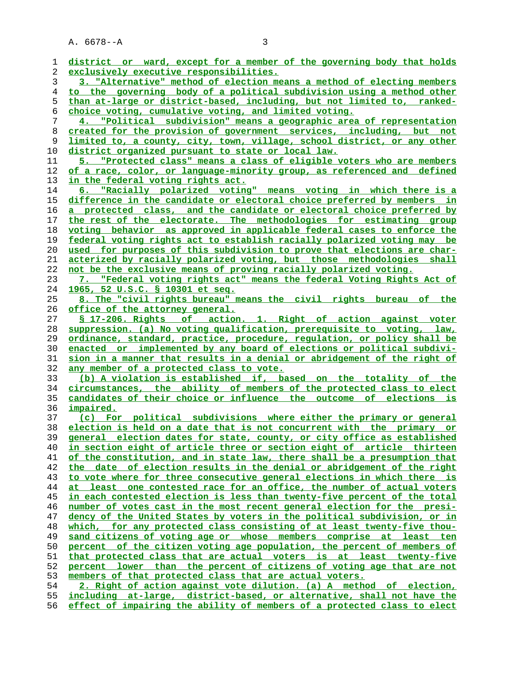| 1        | district or ward, except for a member of the governing body that holds                                      |
|----------|-------------------------------------------------------------------------------------------------------------|
| 2        | exclusively executive responsibilities.                                                                     |
| 3        | 3. "Alternative" method of election means a method of electing members                                      |
| 4        | to the governing body of a political subdivision using a method other                                       |
| 5        | than at-large or district-based, including, but not limited to, ranked-                                     |
| 6        | choice voting, cumulative voting, and limited voting.                                                       |
| 7        | 4. "Political subdivision" means a geographic area of representation                                        |
| 8        | created for the provision of government services, including, but not                                        |
| 9        | limited to, a county, city, town, village, school district, or any other                                    |
| 10       | district organized pursuant to state or local law.                                                          |
| 11       | 5. "Protected class" means a class of eligible voters who are members                                       |
| 12       | of a race, color, or language-minority group, as referenced and defined                                     |
| 13       | in the federal voting rights act.                                                                           |
| 14       | 6. "Racially polarized voting" means voting in which there is a                                             |
| 15       | difference in the candidate or electoral choice preferred by members in                                     |
|          | a protected class, and the candidate or electoral choice preferred by                                       |
| 16       | the rest of the electorate. The methodologies for estimating group                                          |
| 17       |                                                                                                             |
| 18       | voting behavior as approved in applicable federal cases to enforce the                                      |
| 19       | federal voting rights act to establish racially polarized voting may be                                     |
| 20       | used for purposes of this subdivision to prove that elections are char-                                     |
| 21       | acterized by racially polarized voting, but those methodologies shall                                       |
| 22       | not be the exclusive means of proving racially polarized voting.                                            |
| 23       | 7. "Federal voting rights act" means the federal Voting Rights Act of                                       |
| 24       | 1965, 52 U.S.C. § 10301 et seq.                                                                             |
| 25       | 8. The "civil rights bureau" means the civil rights bureau of the                                           |
| 26       | office of the attorney general.                                                                             |
| 27       | § 17-206. Rights of action. 1. Right of action against voter                                                |
| 28       | suppression. (a) No voting qualification, prerequisite to voting, law,                                      |
| 29       | ordinance, standard, practice, procedure, regulation, or policy shall be                                    |
| 30       | enacted or implemented by any board of elections or political subdivi-                                      |
| 31       | sion in a manner that results in a denial or abridgement of the right of                                    |
| 32<br>33 | any member of a protected class to vote.<br>(b) A violation is established if, based on the totality of the |
| 34       | circumstances, the ability of members of the protected class to elect                                       |
| 35       | candidates of their choice or influence the outcome of elections is                                         |
| 36       | <u>impaired.</u>                                                                                            |
| 37       | (c) For political subdivisions where either the primary or general                                          |
| 38       | election is held on a date that is not concurrent with the primary or                                       |
| 39       | general election dates for state, county, or city office as established                                     |
| 40       | <u>in section eight of article three or section eight of article thirteen</u>                               |
| 41       | of the constitution, and in state law, there shall be a presumption that                                    |
| 42       | the date of election results in the denial or abridgement of the right                                      |
| 43       | to vote where for three consecutive general elections in which there is                                     |
| 44       | at least one contested race for an office, the number of actual voters                                      |
| 45       | in each contested election is less than twenty-five percent of the total                                    |
| 46       | number of votes cast in the most recent general election for the presi-                                     |
| 47       | dency of the United States by voters in the political subdivision, or in                                    |
| 48       | which, for any protected class consisting of at least twenty-five thou-                                     |
| 49       | sand citizens of voting age or whose members comprise at least ten                                          |
| 50       | percent of the citizen voting age population, the percent of members of                                     |
| 51       | that protected class that are actual voters is at least twenty-five                                         |
| 52       | percent lower than the percent of citizens of voting age that are not                                       |
| 53       | members of that protected class that are actual voters.                                                     |
| 54       | 2. Right of action against vote dilution. (a) A method of election,                                         |
| 55       | including at-large, district-based, or alternative, shall not have the                                      |
| 56       | effect of impairing the ability of members of a protected class to elect                                    |
|          |                                                                                                             |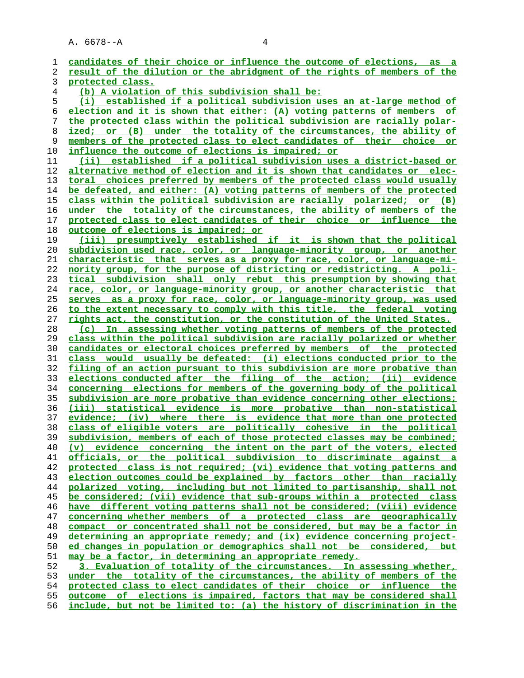**candidates of their choice or influence the outcome of elections, as a result of the dilution or the abridgment of the rights of members of the protected class. (b) A violation of this subdivision shall be: (i) established if a political subdivision uses an at-large method of election and it is shown that either: (A) voting patterns of members of the protected class within the political subdivision are racially polar- ized; or (B) under the totality of the circumstances, the ability of members of the protected class to elect candidates of their choice or influence the outcome of elections is impaired; or (ii) established if a political subdivision uses a district-based or alternative method of election and it is shown that candidates or elec- toral choices preferred by members of the protected class would usually be defeated, and either: (A) voting patterns of members of the protected class within the political subdivision are racially polarized; or (B) under the totality of the circumstances, the ability of members of the protected class to elect candidates of their choice or influence the outcome of elections is impaired; or (iii) presumptively established if it is shown that the political subdivision used race, color, or language-minority group, or another characteristic that serves as a proxy for race, color, or language-mi- nority group, for the purpose of districting or redistricting. A poli- tical subdivision shall only rebut this presumption by showing that race, color, or language-minority group, or another characteristic that serves as a proxy for race, color, or language-minority group, was used to the extent necessary to comply with this title, the federal voting rights act, the constitution, or the constitution of the United States. (c) In assessing whether voting patterns of members of the protected class within the political subdivision are racially polarized or whether candidates or electoral choices preferred by members of the protected class would usually be defeated: (i) elections conducted prior to the filing of an action pursuant to this subdivision are more probative than elections conducted after the filing of the action; (ii) evidence concerning elections for members of the governing body of the political subdivision are more probative than evidence concerning other elections; (iii) statistical evidence is more probative than non-statistical evidence; (iv) where there is evidence that more than one protected class of eligible voters are politically cohesive in the political subdivision, members of each of those protected classes may be combined; (v) evidence concerning the intent on the part of the voters, elected officials, or the political subdivision to discriminate against a protected class is not required; (vi) evidence that voting patterns and election outcomes could be explained by factors other than racially polarized voting, including but not limited to partisanship, shall not be considered; (vii) evidence that sub-groups within a protected class have different voting patterns shall not be considered; (viii) evidence concerning whether members of a protected class are geographically compact or concentrated shall not be considered, but may be a factor in determining an appropriate remedy; and (ix) evidence concerning project- ed changes in population or demographics shall not be considered, but may be a factor, in determining an appropriate remedy. 3. Evaluation of totality of the circumstances. In assessing whether, under the totality of the circumstances, the ability of members of the protected class to elect candidates of their choice or influence the outcome of elections is impaired, factors that may be considered shall include, but not be limited to: (a) the history of discrimination in the**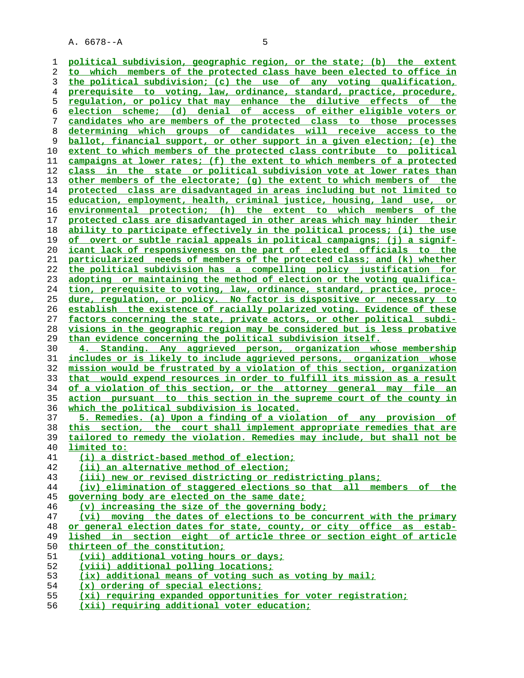**political subdivision, geographic region, or the state; (b) the extent to which members of the protected class have been elected to office in the political subdivision; (c) the use of any voting qualification, prerequisite to voting, law, ordinance, standard, practice, procedure, regulation, or policy that may enhance the dilutive effects of the election scheme; (d) denial of access of either eligible voters or candidates who are members of the protected class to those processes determining which groups of candidates will receive access to the ballot, financial support, or other support in a given election; (e) the extent to which members of the protected class contribute to political campaigns at lower rates; (f) the extent to which members of a protected class in the state or political subdivision vote at lower rates than other members of the electorate; (g) the extent to which members of the protected class are disadvantaged in areas including but not limited to education, employment, health, criminal justice, housing, land use, or environmental protection; (h) the extent to which members of the protected class are disadvantaged in other areas which may hinder their ability to participate effectively in the political process; (i) the use of overt or subtle racial appeals in political campaigns; (j) a signif- icant lack of responsiveness on the part of elected officials to the particularized needs of members of the protected class; and (k) whether the political subdivision has a compelling policy justification for adopting or maintaining the method of election or the voting qualifica- tion, prerequisite to voting, law, ordinance, standard, practice, proce- dure, regulation, or policy. No factor is dispositive or necessary to establish the existence of racially polarized voting. Evidence of these factors concerning the state, private actors, or other political subdi- visions in the geographic region may be considered but is less probative than evidence concerning the political subdivision itself. 4. Standing. Any aggrieved person, organization whose membership includes or is likely to include aggrieved persons, organization whose mission would be frustrated by a violation of this section, organization that would expend resources in order to fulfill its mission as a result of a violation of this section, or the attorney general may file an action pursuant to this section in the supreme court of the county in which the political subdivision is located. 5. Remedies. (a) Upon a finding of a violation of any provision of this section, the court shall implement appropriate remedies that are tailored to remedy the violation. Remedies may include, but shall not be limited to: (i) a district-based method of election; (ii) an alternative method of election; (iii) new or revised districting or redistricting plans; (iv) elimination of staggered elections so that all members of the governing body are elected on the same date; (v) increasing the size of the governing body; (vi) moving the dates of elections to be concurrent with the primary or general election dates for state, county, or city office as estab- lished in section eight of article three or section eight of article thirteen of the constitution; (vii) additional voting hours or days; (viii) additional polling locations; (ix) additional means of voting such as voting by mail; (x) ordering of special elections; (xi) requiring expanded opportunities for voter registration; (xii) requiring additional voter education;**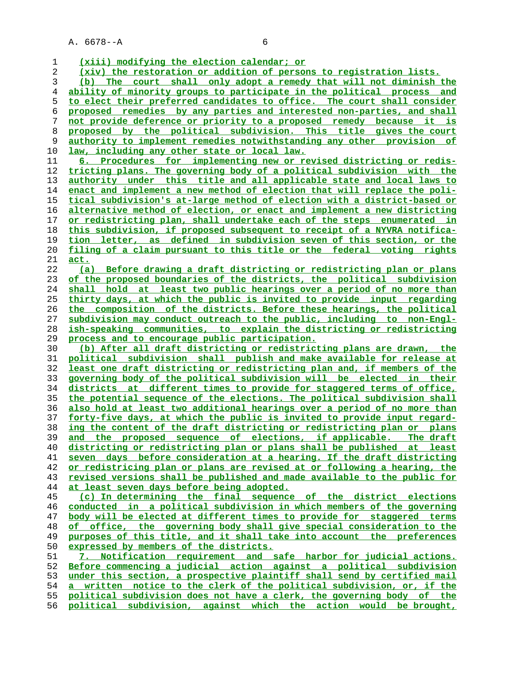**(xiii) modifying the election calendar; or (xiv) the restoration or addition of persons to registration lists. (b) The court shall only adopt a remedy that will not diminish the ability of minority groups to participate in the political process and to elect their preferred candidates to office. The court shall consider proposed remedies by any parties and interested non-parties, and shall not provide deference or priority to a proposed remedy because it is proposed by the political subdivision. This title gives the court authority to implement remedies notwithstanding any other provision of law, including any other state or local law. 6. Procedures for implementing new or revised districting or redis- tricting plans. The governing body of a political subdivision with the authority under this title and all applicable state and local laws to enact and implement a new method of election that will replace the poli- tical subdivision's at-large method of election with a district-based or alternative method of election, or enact and implement a new districting or redistricting plan, shall undertake each of the steps enumerated in this subdivision, if proposed subsequent to receipt of a NYVRA notifica- tion letter, as defined in subdivision seven of this section, or the filing of a claim pursuant to this title or the federal voting rights act. (a) Before drawing a draft districting or redistricting plan or plans of the proposed boundaries of the districts, the political subdivision shall hold at least two public hearings over a period of no more than thirty days, at which the public is invited to provide input regarding the composition of the districts. Before these hearings, the political subdivision may conduct outreach to the public, including to non-Engl- ish-speaking communities, to explain the districting or redistricting process and to encourage public participation. (b) After all draft districting or redistricting plans are drawn, the political subdivision shall publish and make available for release at least one draft districting or redistricting plan and, if members of the governing body of the political subdivision will be elected in their districts at different times to provide for staggered terms of office, the potential sequence of the elections. The political subdivision shall also hold at least two additional hearings over a period of no more than forty-five days, at which the public is invited to provide input regard- ing the content of the draft districting or redistricting plan or plans and the proposed sequence of elections, if applicable. The draft districting or redistricting plan or plans shall be published at least seven days before consideration at a hearing. If the draft districting or redistricing plan or plans are revised at or following a hearing, the revised versions shall be published and made available to the public for at least seven days before being adopted. (c) In determining the final sequence of the district elections conducted in a political subdivision in which members of the governing body will be elected at different times to provide for staggered terms of office, the governing body shall give special consideration to the purposes of this title, and it shall take into account the preferences expressed by members of the districts. 7. Notification requirement and safe harbor for judicial actions. Before commencing a judicial action against a political subdivision**

**under this section, a prospective plaintiff shall send by certified mail a written notice to the clerk of the political subdivision, or, if the political subdivision does not have a clerk, the governing body of the political subdivision, against which the action would be brought,**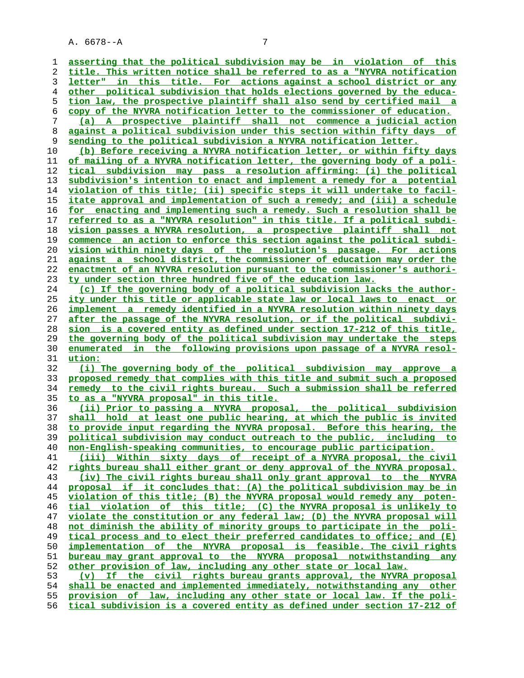**asserting that the political subdivision may be in violation of this title. This written notice shall be referred to as a "NYVRA notification letter" in this title. For actions against a school district or any other political subdivision that holds elections governed by the educa- tion law, the prospective plaintiff shall also send by certified mail a copy of the NYVRA notification letter to the commissioner of education. (a) A prospective plaintiff shall not commence a judicial action against a political subdivision under this section within fifty days of sending to the political subdivision a NYVRA notification letter. (b) Before receiving a NYVRA notification letter, or within fifty days of mailing of a NYVRA notification letter, the governing body of a poli- tical subdivision may pass a resolution affirming: (i) the political subdivision's intention to enact and implement a remedy for a potential violation of this title; (ii) specific steps it will undertake to facil- itate approval and implementation of such a remedy; and (iii) a schedule for enacting and implementing such a remedy. Such a resolution shall be referred to as a "NYVRA resolution" in this title. If a political subdi- vision passes a NYVRA resolution, a prospective plaintiff shall not commence an action to enforce this section against the political subdi- vision within ninety days of the resolution's passage. For actions against a school district, the commissioner of education may order the enactment of an NYVRA resolution pursuant to the commissioner's authori- ty under section three hundred five of the education law. (c) If the governing body of a political subdivision lacks the author- ity under this title or applicable state law or local laws to enact or implement a remedy identified in a NYVRA resolution within ninety days after the passage of the NYVRA resolution, or if the political subdivi- sion is a covered entity as defined under section 17-212 of this title, the governing body of the political subdivision may undertake the steps enumerated in the following provisions upon passage of a NYVRA resol- ution: (i) The governing body of the political subdivision may approve a proposed remedy that complies with this title and submit such a proposed remedy to the civil rights bureau. Such a submission shall be referred to as a "NYVRA proposal" in this title. (ii) Prior to passing a NYVRA proposal, the political subdivision shall hold at least one public hearing, at which the public is invited to provide input regarding the NYVRA proposal. Before this hearing, the political subdivision may conduct outreach to the public, including to non-English-speaking communities, to encourage public participation. (iii) Within sixty days of receipt of a NYVRA proposal, the civil rights bureau shall either grant or deny approval of the NYVRA proposal. (iv) The civil rights bureau shall only grant approval to the NYVRA proposal if it concludes that: (A) the political subdivision may be in violation of this title; (B) the NYVRA proposal would remedy any poten- tial violation of this title; (C) the NYVRA proposal is unlikely to violate the constitution or any federal law; (D) the NYVRA proposal will not diminish the ability of minority groups to participate in the poli- tical process and to elect their preferred candidates to office; and (E) implementation of the NYVRA proposal is feasible. The civil rights bureau may grant approval to the NYVRA proposal notwithstanding any other provision of law, including any other state or local law. (v) If the civil rights bureau grants approval, the NYVRA proposal shall be enacted and implemented immediately, notwithstanding any other provision of law, including any other state or local law. If the poli- tical subdivision is a covered entity as defined under section 17-212 of**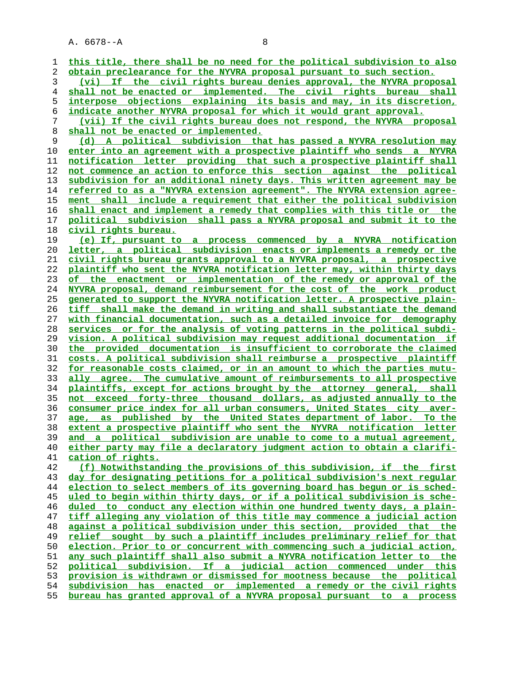| 1  | this title, there shall be no need for the political subdivision to also |
|----|--------------------------------------------------------------------------|
| 2  | obtain preclearance for the NYVRA proposal pursuant to such section.     |
| 3  | If the civil rights bureau denies approval, the NYVRA proposal<br>(vi)   |
| 4  | shall not be enacted or implemented. The civil rights bureau shall       |
| 5  | interpose objections explaining its basis and may, in its discretion,    |
| 6  | indicate another NYVRA proposal for which it would grant approval.       |
| 7  | (vii) If the civil rights bureau does not respond, the NYVRA proposal    |
| 8  | shall not be enacted or implemented.                                     |
| 9  | (d) A political subdivision that has passed a NYVRA resolution may       |
| 10 | enter into an agreement with a prospective plaintiff who sends a NYVRA   |
| 11 | notification letter providing that such a prospective plaintiff shall    |
| 12 | not commence an action to enforce this section against the political     |
| 13 | subdivision for an additional ninety days. This written agreement may be |
| 14 | referred to as a "NYVRA extension agreement". The NYVRA extension agree- |
| 15 | ment shall include a requirement that either the political subdivision   |
| 16 | shall enact and implement a remedy that complies with this title or the  |
| 17 | political subdivision shall pass a NYVRA proposal and submit it to the   |
| 18 | civil rights bureau.                                                     |
| 19 | (e) If, pursuant to a process commenced by a NYVRA notification          |
| 20 | letter, a political subdivision enacts or implements a remedy or the     |
| 21 | civil rights bureau grants approval to a NYVRA proposal, a prospective   |
| 22 | plaintiff who sent the NYVRA notification letter may, within thirty days |
| 23 | of the enactment or implementation of the remedy or approval of the      |
| 24 | NYVRA proposal, demand reimbursement for the cost of the work product    |
| 25 | generated to support the NYVRA notification letter. A prospective plain- |
| 26 | tiff shall make the demand in writing and shall substantiate the demand  |
| 27 | with financial documentation, such as a detailed invoice for demography  |
| 28 | services or for the analysis of voting patterns in the political subdi-  |
| 29 | vision. A political subdivision may request additional documentation if  |
| 30 | the provided documentation is insufficient to corroborate the claimed    |
| 31 | costs. A political subdivision shall reimburse a prospective plaintiff   |
| 32 | for reasonable costs claimed, or in an amount to which the parties mutu- |
| 33 | ally agree. The cumulative amount of reimbursements to all prospective   |
| 34 | plaintiffs, except for actions brought by the attorney general, shall    |
| 35 | not exceed forty-three thousand dollars, as adjusted annually to the     |
| 36 | consumer price index for all urban consumers, United States city aver-   |
| 37 | published by the United States department of labor. To the<br>age, as    |
| 38 | extent a prospective plaintiff who sent the NYVRA notification letter    |
| 39 | and a political subdivision are unable to come to a mutual agreement,    |
| 40 | either party may file a declaratory judgment action to obtain a clarifi- |
| 41 | cation of rights.                                                        |
| 42 | (f) Notwithstanding the provisions of this subdivision, if the first     |
| 43 | day for designating petitions for a political subdivision's next regular |
| 44 | election to select members of its governing board has begun or is sched- |
| 45 | uled to begin within thirty days, or if a political subdivision is sche- |
| 46 | duled to conduct any election within one hundred twenty days, a plain-   |
| 47 | tiff alleging any violation of this title may commence a judicial action |
| 48 | against a political subdivision under this section, provided that the    |
| 49 | relief sought by such a plaintiff includes preliminary relief for that   |
| 50 | election. Prior to or concurrent with commencing such a judicial action, |
| 51 | any such plaintiff shall also submit a NYVRA notification letter to the  |
| 52 | political subdivision. If a judicial action commenced under this         |
| 53 | provision is withdrawn or dismissed for mootness because the political   |
| 54 | subdivision has enacted or implemented a remedy or the civil rights      |
| 55 | bureau has granted approval of a NYVRA proposal pursuant to a process    |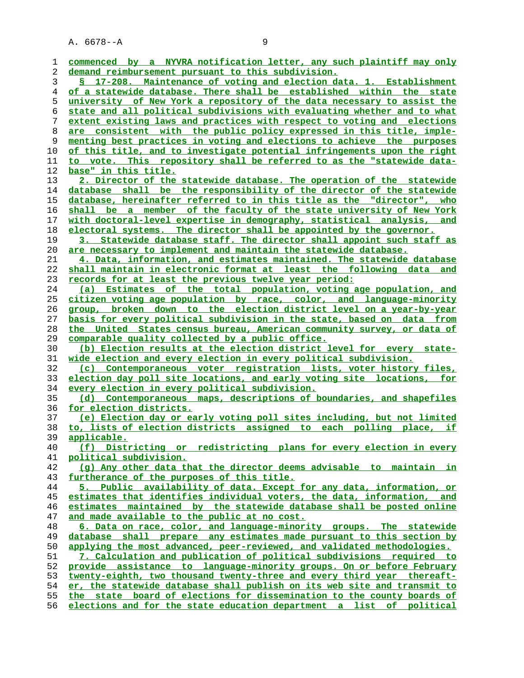| ı  | commenced by a NYVRA notification letter, any such plaintiff may only       |
|----|-----------------------------------------------------------------------------|
| 2  | demand reimbursement pursuant to this subdivision.                          |
| 3  | § 17-208. Maintenance of voting and election data. 1. Establishment         |
| 4  | <u>of a statewide database. There shall be established within the state</u> |
| 5  | university of New York a repository of the data necessary to assist the     |
| 6  | state and all political subdivisions with evaluating whether and to what    |
| 7  | extent existing laws and practices with respect to voting and elections     |
| 8  | are consistent with the public policy expressed in this title, imple-       |
| 9  | menting best practices in voting and elections to achieve the purposes      |
| 10 | of this title, and to investigate potential infringements upon the right    |
| 11 | to vote. This repository shall be referred to as the "statewide data-       |
| 12 | base" in this title.                                                        |
| 13 | 2. Director of the statewide database. The operation of the statewide       |
| 14 | database shall be the responsibility of the director of the statewide       |
| 15 | database, hereinafter referred to in this title as the "director", who      |
| 16 | shall be a member of the faculty of the state university of New York        |
| 17 | with doctoral-level expertise in demography, statistical analysis, and      |
| 18 | electoral systems. The director shall be appointed by the governor.         |
| 19 | 3. Statewide database staff. The director shall appoint such staff as       |
| 20 | are necessary to implement and maintain the statewide database.             |
| 21 | 4. Data, information, and estimates maintained. The statewide database      |
| 22 | shall maintain in electronic format at least the following data and         |
| 23 | records for at least the previous twelve year period:                       |
| 24 | (a) Estimates of the total population, voting age population, and           |
| 25 | citizen voting age population by race, color, and language-minority         |
| 26 | group, broken down to the election district level on a year-by-year         |
| 27 | basis for every political subdivision in the state, based on data from      |
| 28 | the United States census bureau, American community survey, or data of      |
| 29 | comparable quality collected by a public office.                            |
| 30 | (b) Election results at the election district level for every state-        |
| 31 | wide election and every election in every political subdivision.            |
| 32 | (c) Contemporaneous voter registration lists, voter history files,          |
| 33 | election day poll site locations, and early voting site locations, for      |
| 34 | every election in every political subdivision.                              |
| 35 | (d) Contemporaneous maps, descriptions of boundaries, and shapefiles        |
| 36 | for election districts.                                                     |
| 37 | (e) Election day or early voting poll sites including, but not limited      |
| 38 | to, lists of election districts assigned to each polling place, if          |
| 39 | applicable.                                                                 |
| 40 | (f) Districting or redistricting plans for every election in every          |
| 41 | political subdivision.                                                      |
| 42 | (g) Any other data that the director deems advisable to maintain in         |
| 43 | furtherance of the purposes of this title.                                  |
| 44 | 5. Public availability of data. Except for any data, information, or        |
| 45 | estimates that identifies individual voters, the data, information, and     |
| 46 | estimates maintained by the statewide database shall be posted online       |
| 47 | and made available to the public at no cost.                                |
| 48 | 6. Data on race, color, and language-minority groups. The statewide         |
| 49 | database shall prepare any estimates made pursuant to this section by       |
| 50 | applying the most advanced, peer-reviewed, and validated methodologies.     |
| 51 | 7. Calculation and publication of political subdivisions required to        |
| 52 | provide assistance to language-minority groups. On or before February       |
| 53 | twenty-eighth, two thousand twenty-three and every third year thereaft-     |
| 54 | er, the statewide database shall publish on its web site and transmit to    |
| 55 | the state board of elections for dissemination to the county boards of      |
| 56 | elections and for the state education department a list of political        |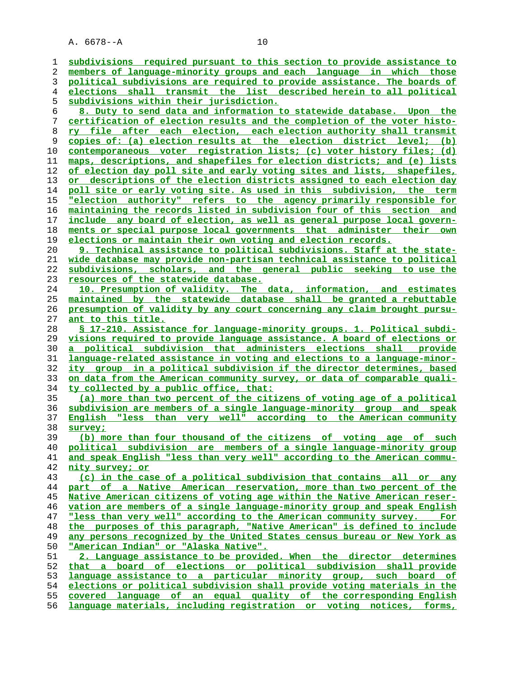**subdivisions required pursuant to this section to provide assistance to members of language-minority groups and each language in which those political subdivisions are required to provide assistance. The boards of elections shall transmit the list described herein to all political subdivisions within their jurisdiction. 8. Duty to send data and information to statewide database. Upon the certification of election results and the completion of the voter histo- ry file after each election, each election authority shall transmit copies of: (a) election results at the election district level; (b) contemporaneous voter registration lists; (c) voter history files; (d) maps, descriptions, and shapefiles for election districts; and (e) lists of election day poll site and early voting sites and lists, shapefiles, or descriptions of the election districts assigned to each election day poll site or early voting site. As used in this subdivision, the term "election authority" refers to the agency primarily responsible for maintaining the records listed in subdivision four of this section and include any board of election, as well as general purpose local govern- ments or special purpose local governments that administer their own elections or maintain their own voting and election records. 9. Technical assistance to political subdivisions. Staff at the state- wide database may provide non-partisan technical assistance to political subdivisions, scholars, and the general public seeking to use the resources of the statewide database. 10. Presumption of validity. The data, information, and estimates maintained by the statewide database shall be granted a rebuttable presumption of validity by any court concerning any claim brought pursu- ant to this title. § 17-210. Assistance for language-minority groups. 1. Political subdi- visions required to provide language assistance. A board of elections or a political subdivision that administers elections shall provide language-related assistance in voting and elections to a language-minor- ity group in a political subdivision if the director determines, based on data from the American community survey, or data of comparable quali- ty collected by a public office, that: (a) more than two percent of the citizens of voting age of a political subdivision are members of a single language-minority group and speak English "less than very well" according to the American community survey; (b) more than four thousand of the citizens of voting age of such political subdivision are members of a single language-minority group and speak English "less than very well" according to the American commu- nity survey; or (c) in the case of a political subdivision that contains all or any part of a Native American reservation, more than two percent of the Native American citizens of voting age within the Native American reser- vation are members of a single language-minority group and speak English "less than very well" according to the American community survey. For the purposes of this paragraph, "Native American" is defined to include any persons recognized by the United States census bureau or New York as "American Indian" or "Alaska Native". 2. Language assistance to be provided. When the director determines that a board of elections or political subdivision shall provide language assistance to a particular minority group, such board of elections or political subdivision shall provide voting materials in the**

**covered language of an equal quality of the corresponding English**

**language materials, including registration or voting notices, forms,**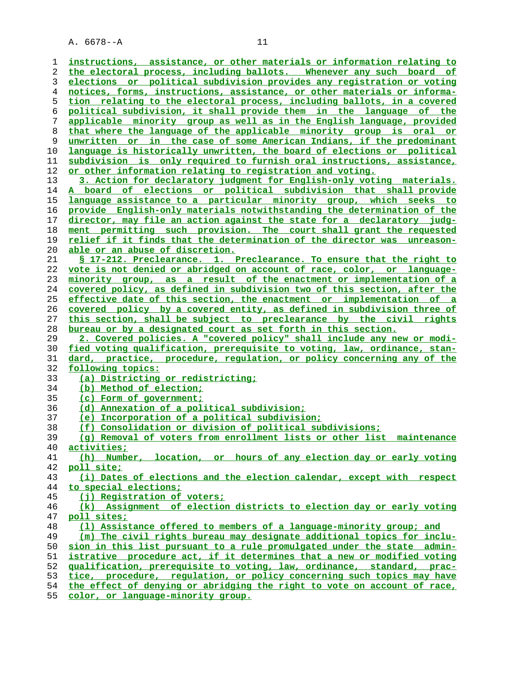**instructions, assistance, or other materials or information relating to the electoral process, including ballots. Whenever any such board of elections or political subdivision provides any registration or voting notices, forms, instructions, assistance, or other materials or informa- tion relating to the electoral process, including ballots, in a covered political subdivision, it shall provide them in the language of the applicable minority group as well as in the English language, provided that where the language of the applicable minority group is oral or unwritten or in the case of some American Indians, if the predominant language is historically unwritten, the board of elections or political subdivision is only required to furnish oral instructions, assistance, or other information relating to registration and voting. 3. Action for declaratory judgment for English-only voting materials. A board of elections or political subdivision that shall provide language assistance to a particular minority group, which seeks to provide English-only materials notwithstanding the determination of the director, may file an action against the state for a declaratory judg- ment permitting such provision. The court shall grant the requested relief if it finds that the determination of the director was unreason- able or an abuse of discretion. § 17-212. Preclearance. 1. Preclearance. To ensure that the right to vote is not denied or abridged on account of race, color, or language- minority group, as a result of the enactment or implementation of a covered policy, as defined in subdivision two of this section, after the effective date of this section, the enactment or implementation of a covered policy by a covered entity, as defined in subdivision three of this section, shall be subject to preclearance by the civil rights bureau or by a designated court as set forth in this section. 2. Covered policies. A "covered policy" shall include any new or modi- fied voting qualification, prerequisite to voting, law, ordinance, stan- dard, practice, procedure, regulation, or policy concerning any of the following topics: (a) Districting or redistricting; (b) Method of election; (c) Form of government; (d) Annexation of a political subdivision; (e) Incorporation of a political subdivision; (f) Consolidation or division of political subdivisions; (g) Removal of voters from enrollment lists or other list maintenance activities; (h) Number, location, or hours of any election day or early voting poll site; (i) Dates of elections and the election calendar, except with respect to special elections; (j) Registration of voters; (k) Assignment of election districts to election day or early voting poll sites; (l) Assistance offered to members of a language-minority group; and (m) The civil rights bureau may designate additional topics for inclu- sion in this list pursuant to a rule promulgated under the state admin- istrative procedure act, if it determines that a new or modified voting qualification, prerequisite to voting, law, ordinance, standard, prac- tice, procedure, regulation, or policy concerning such topics may have the effect of denying or abridging the right to vote on account of race,**

**color, or language-minority group.**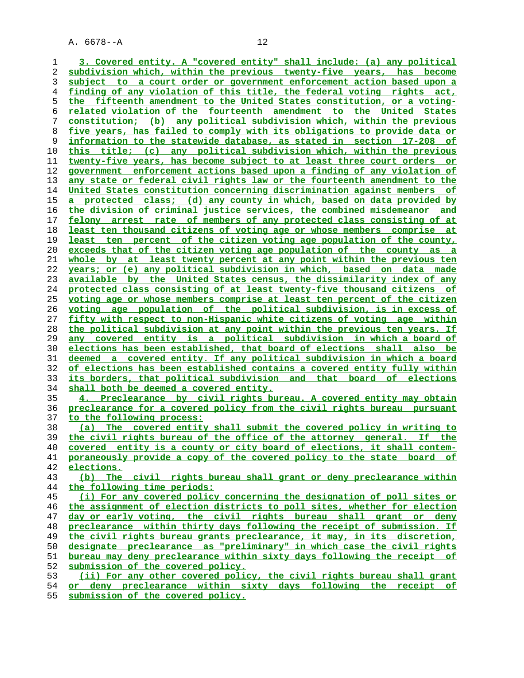**3. Covered entity. A "covered entity" shall include: (a) any political subdivision which, within the previous twenty-five years, has become subject to a court order or government enforcement action based upon a finding of any violation of this title, the federal voting rights act, the fifteenth amendment to the United States constitution, or a voting- related violation of the fourteenth amendment to the United States constitution; (b) any political subdivision which, within the previous five years, has failed to comply with its obligations to provide data or information to the statewide database, as stated in section 17-208 of this title; (c) any political subdivision which, within the previous twenty-five years, has become subject to at least three court orders or government enforcement actions based upon a finding of any violation of any state or federal civil rights law or the fourteenth amendment to the United States constitution concerning discrimination against members of a protected class; (d) any county in which, based on data provided by the division of criminal justice services, the combined misdemeanor and felony arrest rate of members of any protected class consisting of at least ten thousand citizens of voting age or whose members comprise at least ten percent of the citizen voting age population of the county, exceeds that of the citizen voting age population of the county as a whole by at least twenty percent at any point within the previous ten years; or (e) any political subdivision in which, based on data made available by the United States census, the dissimilarity index of any protected class consisting of at least twenty-five thousand citizens of voting age or whose members comprise at least ten percent of the citizen voting age population of the political subdivision, is in excess of fifty with respect to non-Hispanic white citizens of voting age within the political subdivision at any point within the previous ten years. If any covered entity is a political subdivision in which a board of elections has been established, that board of elections shall also be deemed a covered entity. If any political subdivision in which a board of elections has been established contains a covered entity fully within its borders, that political subdivision and that board of elections shall both be deemed a covered entity. 4. Preclearance by civil rights bureau. A covered entity may obtain preclearance for a covered policy from the civil rights bureau pursuant to the following process: (a) The covered entity shall submit the covered policy in writing to the civil rights bureau of the office of the attorney general. If the covered entity is a county or city board of elections, it shall contem- poraneously provide a copy of the covered policy to the state board of elections. (b) The civil rights bureau shall grant or deny preclearance within the following time periods: (i) For any covered policy concerning the designation of poll sites or the assignment of election districts to poll sites, whether for election day or early voting, the civil rights bureau shall grant or deny preclearance within thirty days following the receipt of submission. If the civil rights bureau grants preclearance, it may, in its discretion, designate preclearance as "preliminary" in which case the civil rights bureau may deny preclearance within sixty days following the receipt of**

**submission of the covered policy.**

**(ii) For any other covered policy, the civil rights bureau shall grant**

**or deny preclearance within sixty days following the receipt of submission of the covered policy.**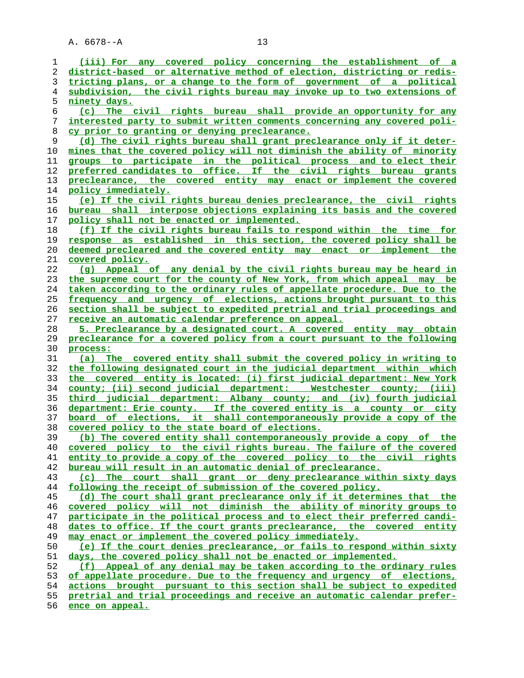| 1        |                                                                                |
|----------|--------------------------------------------------------------------------------|
|          | (iii) For any covered policy concerning the establishment of a                 |
| 2        | district-based or alternative method of election, districting or redis-        |
| 3        | tricting plans, or a change to the form of government of a political           |
| 4        | subdivision, the civil rights bureau may invoke up to two extensions of        |
| 5        | ninety days.                                                                   |
|          |                                                                                |
| 6        | (c) The civil rights bureau shall provide an opportunity for any               |
| 7        | interested party to submit written comments concerning any covered poli-       |
| 8        | cy prior to granting or denying preclearance.                                  |
| 9        | (d) The civil rights bureau shall grant preclearance only if it deter-         |
| 10       | mines that the covered policy will not diminish the ability of minority        |
| 11       | groups to participate in the political process and to elect their              |
|          |                                                                                |
| 12       | preferred candidates to office. If the civil rights bureau grants              |
| 13       | preclearance, the covered entity may enact or implement the covered            |
| 14       | policy immediately.                                                            |
| 15       | (e) If the civil rights bureau denies preclearance, the civil rights           |
| 16       | bureau shall interpose objections explaining its basis and the covered         |
| 17       | policy shall not be enacted or implemented.                                    |
| 18       | (f) If the civil rights bureau fails to respond within the time for            |
|          |                                                                                |
| 19       | response as established in this section, the covered policy shall be           |
| 20       | deemed precleared and the covered entity may enact or implement the            |
| 21       | covered policy.                                                                |
| 22       | (q) Appeal of any denial by the civil rights bureau may be heard in            |
| 23       | the supreme court for the county of New York, from which appeal may be         |
| 24       | taken according to the ordinary rules of appellate procedure. Due to the       |
|          |                                                                                |
| 25       | frequency and urgency of elections, actions brought pursuant to this           |
| 26       | section shall be subject to expedited pretrial and trial proceedings and       |
| 27       | receive an automatic calendar preference on appeal.                            |
| 28       | 5. Preclearance by a designated court. A covered entity may obtain             |
| 29       | preclearance for a covered policy from a court pursuant to the following       |
| 30       | process:                                                                       |
| 31       | (a) The covered entity shall submit the covered policy in writing to           |
|          |                                                                                |
| 32       | the following designated court in the judicial department within which         |
| 33       | the covered entity is located: (i) first judicial department: New York         |
| 34       | county; (ii) second judicial department: Westchester county; (iii)             |
| 35       |                                                                                |
|          | third judicial department: Albany county; and (iv) fourth judicial             |
|          |                                                                                |
| 36       | department: Erie county. If the covered entity is a county or city             |
| 37       | board of elections, it shall contemporaneously provide a copy of the           |
| 38       | covered policy to the state board of elections.                                |
| 39       | (b) The covered entity shall contemporaneously provide a copy of<br><u>the</u> |
| 40       | covered policy to the civil rights bureau. The failure of the covered          |
| 41       | entity to provide a copy of the covered policy to the civil rights             |
| 42       | bureau will result in an automatic denial of preclearance.                     |
| 43       | (c)                                                                            |
|          | The court shall grant or deny preclearance within sixty days                   |
| 44       | following the receipt of submission of the covered policy.                     |
| 45       | (d) The court shall grant preclearance only if it determines that the          |
| 46       | covered policy will not diminish the ability of minority groups to             |
| 47       | participate in the political process and to elect their preferred candi-       |
| 48       | dates to office. If the court grants preclearance, the covered entity          |
| 49       | may enact or implement the covered policy immediately.                         |
|          |                                                                                |
| 50       | (e) If the court denies preclearance, or fails to respond within sixty         |
| 51       | days, the covered policy shall not be enacted or implemented.                  |
| 52       | (f) Appeal of any denial may be taken according to the ordinary rules          |
| 53       | of appellate procedure. Due to the frequency and urgency of elections,         |
| 54       | actions brought pursuant to this section shall be subject to expedited         |
| 55<br>56 | pretrial and trial proceedings and receive an automatic calendar prefer-       |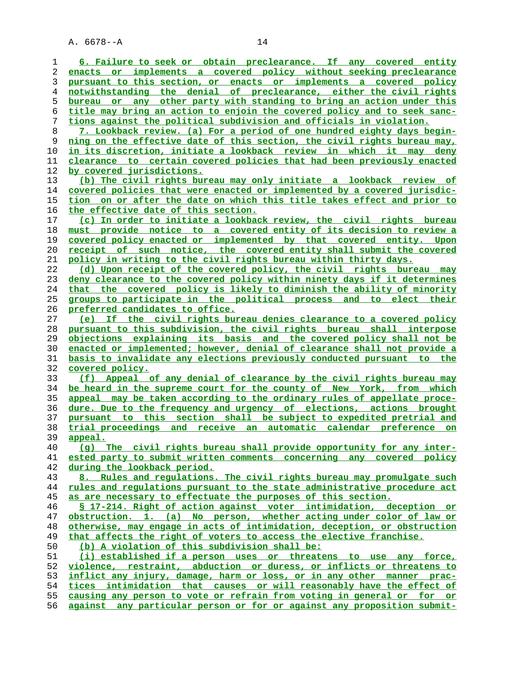**6. Failure to seek or obtain preclearance. If any covered entity enacts or implements a covered policy without seeking preclearance pursuant to this section, or enacts or implements a covered policy notwithstanding the denial of preclearance, either the civil rights bureau or any other party with standing to bring an action under this title may bring an action to enjoin the covered policy and to seek sanc- tions against the political subdivision and officials in violation. 7. Lookback review. (a) For a period of one hundred eighty days begin- ning on the effective date of this section, the civil rights bureau may, in its discretion, initiate a lookback review in which it may deny clearance to certain covered policies that had been previously enacted by covered jurisdictions. (b) The civil rights bureau may only initiate a lookback review of covered policies that were enacted or implemented by a covered jurisdic- tion on or after the date on which this title takes effect and prior to the effective date of this section. (c) In order to initiate a lookback review, the civil rights bureau must provide notice to a covered entity of its decision to review a covered policy enacted or implemented by that covered entity. Upon receipt of such notice, the covered entity shall submit the covered policy in writing to the civil rights bureau within thirty days. (d) Upon receipt of the covered policy, the civil rights bureau may deny clearance to the covered policy within ninety days if it determines that the covered policy is likely to diminish the ability of minority groups to participate in the political process and to elect their preferred candidates to office. (e) If the civil rights bureau denies clearance to a covered policy pursuant to this subdivision, the civil rights bureau shall interpose objections explaining its basis and the covered policy shall not be enacted or implemented; however, denial of clearance shall not provide a basis to invalidate any elections previously conducted pursuant to the covered policy. (f) Appeal of any denial of clearance by the civil rights bureau may be heard in the supreme court for the county of New York, from which appeal may be taken according to the ordinary rules of appellate proce- dure. Due to the frequency and urgency of elections, actions brought pursuant to this section shall be subject to expedited pretrial and trial proceedings and receive an automatic calendar preference on appeal. (g) The civil rights bureau shall provide opportunity for any inter- ested party to submit written comments concerning any covered policy during the lookback period. 8. Rules and regulations. The civil rights bureau may promulgate such rules and regulations pursuant to the state administrative procedure act as are necessary to effectuate the purposes of this section. § 17-214. Right of action against voter intimidation, deception or obstruction. 1. (a) No person, whether acting under color of law or otherwise, may engage in acts of intimidation, deception, or obstruction that affects the right of voters to access the elective franchise. (b) A violation of this subdivision shall be: (i) established if a person uses or threatens to use any force, violence, restraint, abduction or duress, or inflicts or threatens to inflict any injury, damage, harm or loss, or in any other manner prac- tices intimidation that causes or will reasonably have the effect of causing any person to vote or refrain from voting in general or for or against any particular person or for or against any proposition submit-**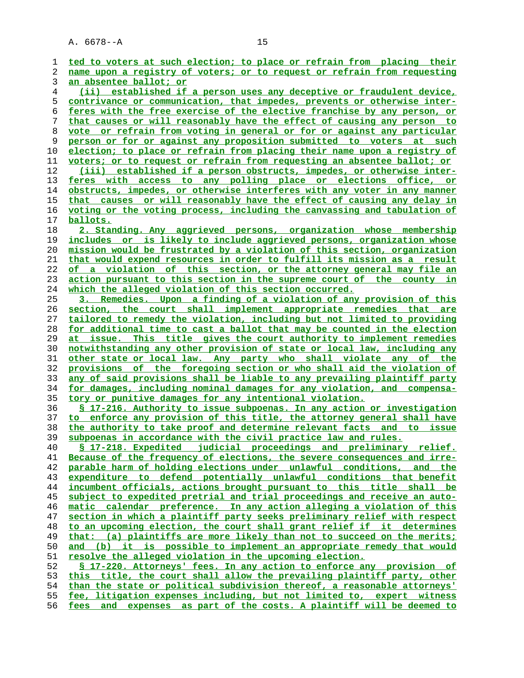| 1  | ted to voters at such election; to place or refrain from placing their   |
|----|--------------------------------------------------------------------------|
| 2  | name upon a registry of voters; or to request or refrain from requesting |
| 3  | an absentee ballot; or                                                   |
|    |                                                                          |
| 4  | (ii) established if a person uses any deceptive or fraudulent device,    |
| 5  | contrivance or communication, that impedes, prevents or otherwise inter- |
| 6  | feres with the free exercise of the elective franchise by any person, or |
| 7  | that causes or will reasonably have the effect of causing any person to  |
| 8  | vote or refrain from voting in general or for or against any particular  |
| 9  | person or for or against any proposition submitted to voters at such     |
| 10 | election; to place or refrain from placing their name upon a registry of |
| 11 | voters; or to request or refrain from requesting an absentee ballot; or  |
| 12 | (iii) established if a person obstructs, impedes, or otherwise inter-    |
| 13 | feres with access to any polling place or elections office, or           |
| 14 | obstructs, impedes, or otherwise interferes with any voter in any manner |
| 15 | that causes or will reasonably have the effect of causing any delay in   |
| 16 | voting or the voting process, including the canvassing and tabulation of |
| 17 | ballots.                                                                 |
|    |                                                                          |
| 18 | 2. Standing. Any aggrieved persons, organization whose membership        |
| 19 | includes or is likely to include aggrieved persons, organization whose   |
| 20 | mission would be frustrated by a violation of this section, organization |
| 21 | that would expend resources in order to fulfill its mission as a result  |
| 22 | of a violation of this section, or the attorney general may file an      |
| 23 | action pursuant to this section in the supreme court of the county in    |
| 24 | which the alleged violation of this section occurred.                    |
| 25 | 3. Remedies. Upon a finding of a violation of any provision of this      |
| 26 | section, the court shall implement appropriate remedies that are         |
| 27 | tailored to remedy the violation, including but not limited to providing |
| 28 | for additional time to cast a ballot that may be counted in the election |
| 29 | at issue. This title gives the court authority to implement remedies     |
| 30 | notwithstanding any other provision of state or local law, including any |
| 31 | other state or local law. Any party who shall violate any of the         |
| 32 | provisions of the foregoing section or who shall aid the violation of    |
| 33 | any of said provisions shall be liable to any prevailing plaintiff party |
| 34 | for damages, including nominal damages for any violation, and compensa-  |
| 35 | tory or punitive damages for any intentional violation.                  |
| 36 | \$ 17-216. Authority to issue subpoenas. In any action or investigation  |
| 37 | to enforce any provision of this title, the attorney general shall have  |
| 38 | the authority to take proof and determine relevant facts and<br>to issue |
| 39 | subpoenas in accordance with the civil practice law and rules.           |
| 40 | § 17-218. Expedited judicial proceedings and preliminary relief.         |
| 41 | Because of the frequency of elections, the severe consequences and irre- |
| 42 |                                                                          |
|    | parable harm of holding elections under unlawful conditions, and the     |
| 43 | expenditure to defend potentially unlawful conditions that benefit       |
| 44 | incumbent officials, actions brought pursuant to this title shall be     |
| 45 | subject to expedited pretrial and trial proceedings and receive an auto- |
| 46 | matic calendar preference. In any action alleging a violation of this    |
| 47 | section in which a plaintiff party seeks preliminary relief with respect |
| 48 | to an upcoming election, the court shall grant relief if it determines   |
| 49 | that: (a) plaintiffs are more likely than not to succeed on the merits;  |
| 50 | and (b) it is possible to implement an appropriate remedy that would     |
| 51 | resolve the alleged violation in the upcoming election.                  |
| 52 | § 17-220. Attorneys' fees. In any action to enforce any provision of     |
| 53 | this title, the court shall allow the prevailing plaintiff party, other  |
| 54 | than the state or political subdivision thereof, a reasonable attorneys' |
| 55 | fee, litigation expenses including, but not limited to, expert witness   |
| 56 | and expenses as part of the costs. A plaintiff will be deemed to<br>fees |